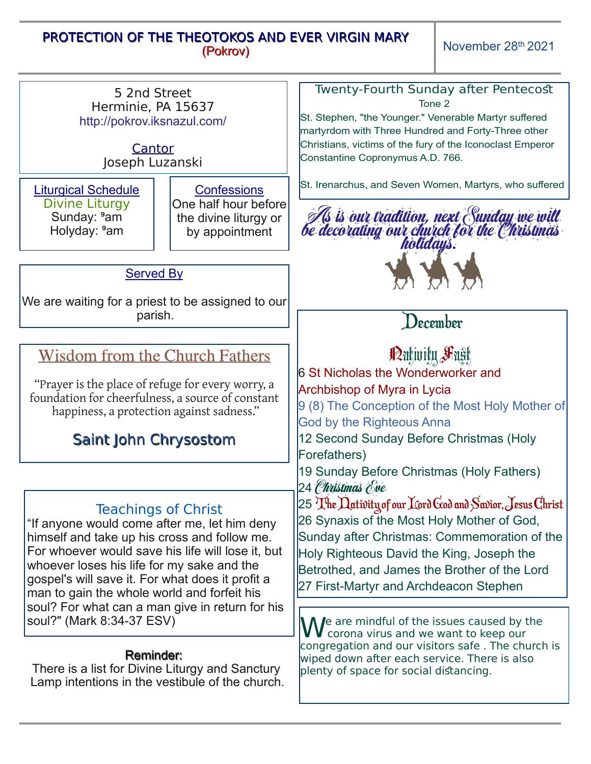## PROTECTION OF THE THEOTOKOS AND EVER VIRGIN MARY (Pokrov)

November 28<sup>th</sup> 2021

Reminder: There is a list for Divine Liturgy and Sanctury Lamp intentions in the vestibule of the church. Twenty-Fourth Sunday after Pentecost Tone 2 St. Stephen, "the Younger." Venerable Martyr suffered martyrdom with Three Hundred and Forty-Three other Christians, victims of the fury of the Iconoclast Emperor Constantine Copronymus A.D. 766. St. Irenarchus, and Seven Women, Martyrs, who suffered 5 2nd Street Herminie, PA 15637 http://pokrov.iksnazul.com/ **Cantor** Joseph Luzanski Liturgical Schedule Divine Liturgy Sunday: <sup>9</sup>am Holyday: <sup>9</sup>am **Confessions** One half hour before the divine liturgy or by appointment Teachings of Christ "If anyone would come after me, let him deny himself and take up his cross and follow me. For whoever would save his life will lose it, but whoever loses his life for my sake and the gospel's will save it. For what does it profit a man to gain the whole world and forfeit his soul? For what can a man give in return for his soul?" (Mark 8:34-37 ESV) Served By We are waiting for a priest to be assigned to our parish. December Partivity Fast 6 St Nicholas the Wonderworker and Archbishop of Myra in Lycia 9 (8) The Conception of the Most Holy Mother of God by the Righteous Anna 12 Second Sunday Before Christmas (Holy Forefathers) 19 Sunday Before Christmas (Holy Fathers) 24 *Christmas* Eve  $25$  The Dativity of our Lord God and Savior, Jesus Christ 26 Synaxis of the Most Holy Mother of God, Sunday after Christmas: Commemoration of the Holy Righteous David the King, Joseph the Betrothed, and James the Brother of the Lord 27 First-Martyr and Archdeacon Stephen We are mindful of the issues caused by the corona virus and we want to keep our congregation and our visitors safe . The church is wiped down after each service. There is also plenty of space for social distancing. Wisdom from the Church Fathers "Prayer is the place of refuge for every worry, a foundation for cheerfulness, a source of constant happiness, a protection against sadness." Saint John Chrysostom As is our tradition, next Sunday we will be decorating our church for the Christmas holidays.